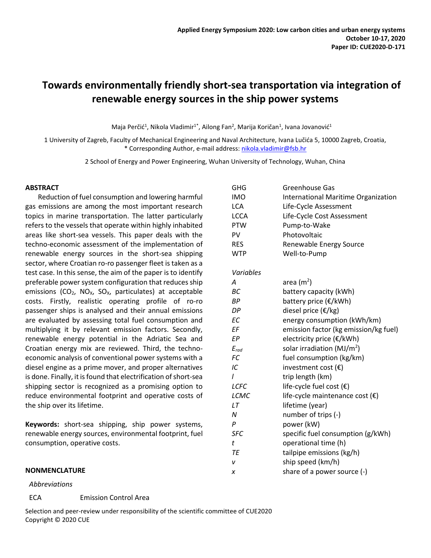# **Towards environmentally friendly short-sea transportation via integration of renewable energy sources in the ship power systems**

Maja Perčić<sup>1</sup>, Nikola Vladimir<sup>1\*</sup>, Ailong Fan<sup>2</sup>, Marija Koričan<sup>1</sup>, Ivana Jovanović<sup>1</sup>

1 University of Zagreb, Faculty of Mechanical Engineering and Naval Architecture, Ivana Lučića 5, 10000 Zagreb, Croatia, \* Corresponding Author, e-mail address: [nikola.vladimir@fsb.hr](mailto:nikola.vladimir@fsb.hr)

2 School of Energy and Power Engineering, Wuhan University of Technology, Wuhan, China

#### **ABSTRACT**

Reduction of fuel consumption and lowering harmful gas emissions are among the most important research topics in marine transportation. The latter particularly refers to the vessels that operate within highly inhabited areas like short-sea vessels. This paper deals with the techno-economic assessment of the implementation of renewable energy sources in the short-sea shipping sector, where Croatian ro-ro passenger fleet is taken as a test case. In this sense, the aim of the paper is to identify preferable power system configuration that reduces ship emissions ( $CO<sub>2</sub>$ , NO<sub>X</sub>, SO<sub>X</sub>, particulates) at acceptable costs. Firstly, realistic operating profile of ro-ro passenger ships is analysed and their annual emissions are evaluated by assessing total fuel consumption and multiplying it by relevant emission factors. Secondly, renewable energy potential in the Adriatic Sea and Croatian energy mix are reviewed. Third, the technoeconomic analysis of conventional power systems with a diesel engine as a prime mover, and proper alternatives is done. Finally, it is found that electrification of short-sea shipping sector is recognized as a promising option to reduce environmental footprint and operative costs of the ship over its lifetime.

**Keywords:** short-sea shipping, ship power systems, renewable energy sources, environmental footprint, fuel consumption, operative costs.

#### **NONMENCLATURE**

#### *Abbreviations*

ECA Emission Control Area

Selection and peer-review under responsibility of the scientific committee of CUE2020 Copyright © 2020 CUE

| GHG        | Greenhouse Gas                           |
|------------|------------------------------------------|
| <b>IMO</b> | International Maritime Organization      |
| LCA        | Life-Cycle Assessment                    |
| LCCA       | Life-Cycle Cost Assessment               |
| PTW        | Pump-to-Wake                             |
| PV         | Photovoltaic                             |
| <b>RES</b> | Renewable Energy Source                  |
| <b>WTP</b> | Well-to-Pump                             |
| Variables  |                                          |
| Α          | area $(m2)$                              |
| BС         | battery capacity (kWh)                   |
| ВP         | battery price (€/kWh)                    |
| DP         | diesel price (€/kg)                      |
| ЕC         | energy consumption (kWh/km)              |
| ΕF         | emission factor (kg emission/kg fuel)    |
| ЕP         | electricity price (€/kWh)                |
| $E_{rad}$  | solar irradiation ( $MJ/m2$ )            |
| FC         | fuel consumption (kg/km)                 |
| ΙC         | investment cost $(\epsilon)$             |
| I          | trip length (km)                         |
| LCFC       | life-cycle fuel cost $(\epsilon)$        |
| LCMC       | life-cycle maintenance cost $(\epsilon)$ |
| LT         | lifetime (year)                          |
| N          | number of trips (-)                      |
| P          | power (kW)                               |
| SFC        | specific fuel consumption (g/kWh)        |
| t          | operational time (h)                     |
| TE         | tailpipe emissions (kg/h)                |
| v          | ship speed (km/h)                        |
| x          | share of a power source (-)              |
|            |                                          |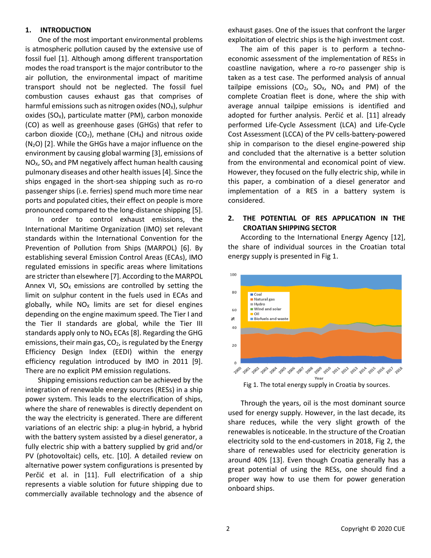## **1. INTRODUCTION**

One of the most important environmental problems is atmospheric pollution caused by the extensive use of fossil fuel [\[1\].](#page-5-0) Although among different transportation modes the road transport is the major contributor to the air pollution, the environmental impact of maritime transport should not be neglected. The fossil fuel combustion causes exhaust gas that comprises of harmful emissions such as nitrogen oxides  $(NO_x)$ , sulphur oxides (SO<sub>x</sub>), particulate matter (PM), carbon monoxide (CO) as well as greenhouse gases (GHGs) that refer to carbon dioxide (CO<sub>2</sub>), methane (CH<sub>4</sub>) and nitrous oxide  $(N_2O)$  [\[2\].](#page-5-1) While the GHGs have a major influence on the environment by causing global warmin[g \[3\],](#page-5-2) emissions of  $NO<sub>x</sub>$ , SO<sub>x</sub> and PM negatively affect human health causing pulmonary diseases and other health issue[s \[4\].](#page-5-3) Since the ships engaged in the short-sea shipping such as ro-ro passenger ships (i.e. ferries) spend much more time near ports and populated cities, their effect on people is more pronounced compared to the long-distance shipping [\[5\].](#page-5-4)

In order to control exhaust emissions, the International Maritime Organization (IMO) set relevant standards within the International Convention for the Prevention of Pollution from Ships (MARPOL) [\[6\].](#page-5-5) By establishing several Emission Control Areas (ECAs), IMO regulated emissions in specific areas where limitations are stricter than elsewhere [\[7\].](#page-5-6) According to the MARPOL Annex VI,  $SO<sub>x</sub>$  emissions are controlled by setting the limit on sulphur content in the fuels used in ECAs and globally, while  $NO<sub>x</sub>$  limits are set for diesel engines depending on the engine maximum speed. The Tier I and the Tier II standards are global, while the Tier III standards apply only to  $NO<sub>x</sub>$  ECAs [\[8\].](#page-5-7) Regarding the GHG emissions, their main gas,  $CO<sub>2</sub>$ , is regulated by the Energy Efficiency Design Index (EEDI) within the energy efficiency regulation introduced by IMO in 2011 [\[9\].](#page-5-8) There are no explicit PM emission regulations.

Shipping emissions reduction can be achieved by the integration of renewable energy sources (RESs) in a ship power system. This leads to the electrification of ships, where the share of renewables is directly dependent on the way the electricity is generated. There are different variations of an electric ship: a plug-in hybrid, a hybrid with the battery system assisted by a diesel generator, a fully electric ship with a battery supplied by grid and/or PV (photovoltaic) cells, etc. [\[10\].](#page-5-9) A detailed review on alternative power system configurations is presented by Perčić et al. in [\[11\].](#page-5-10) Full electrification of a ship represents a viable solution for future shipping due to commercially available technology and the absence of exhaust gases. One of the issues that confront the larger exploitation of electric ships is the high investment cost.

The aim of this paper is to perform a technoeconomic assessment of the implementation of RESs in coastline navigation, where a ro-ro passenger ship is taken as a test case. The performed analysis of annual tailpipe emissions ( $CO<sub>2</sub>$ ,  $SO<sub>x</sub>$ , NO<sub>x</sub> and PM) of the complete Croatian fleet is done, where the ship with average annual tailpipe emissions is identified and adopted for further analysis. Perčić et al. [\[11\]](#page-5-10) already performed Life-Cycle Assessment (LCA) and Life-Cycle Cost Assessment (LCCA) of the PV cells-battery-powered ship in comparison to the diesel engine-powered ship and concluded that the alternative is a better solution from the environmental and economical point of view. However, they focused on the fully electric ship, while in this paper, a combination of a diesel generator and implementation of a RES in a battery system is considered.

# **2. THE POTENTIAL OF RES APPLICATION IN THE CROATIAN SHIPPING SECTOR**

According to the International Energy Agency [\[12\],](#page-5-11) the share of individual sources in the Croatian total energy supply is presented in Fig 1.



Fig 1. The total energy supply in Croatia by sources.

Through the years, oil is the most dominant source used for energy supply. However, in the last decade, its share reduces, while the very slight growth of the renewables is noticeable. In the structure of the Croatian electricity sold to the end-customers in 2018, Fig 2, the share of renewables used for electricity generation is around 40% [\[13\].](#page-5-12) Even though Croatia generally has a great potential of using the RESs, one should find a proper way how to use them for power generation onboard ships.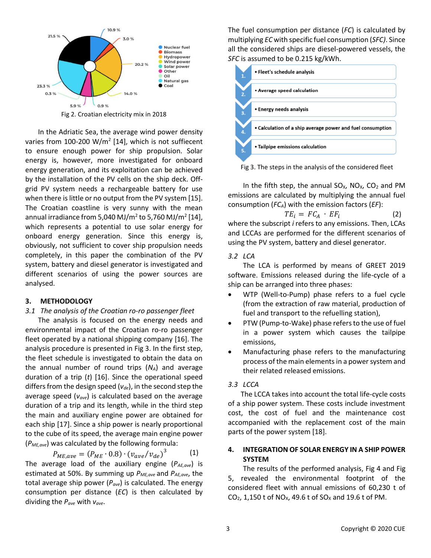

Fig 2. Croatian electricity mix in 2018

In the Adriatic Sea, the average wind power density varies from 100-200 W/m<sup>2</sup> [\[14\],](#page-5-13) which is not suffiecent to ensure enough power for ship propulsion. Solar energy is, however, more investigated for onboard energy generation, and its exploitation can be achieved by the installation of the PV cells on the ship deck. Offgrid PV system needs a rechargeable battery for use when there is little or no output from the PV syste[m \[15\].](#page-5-14) The Croatian coastline is very sunny with the mean annual irradiance from 5,040 MJ/m<sup>2</sup> to 5,760 MJ/m<sup>2</sup> [\[14\],](#page-5-13) which represents a potential to use solar energy for onboard energy generation. Since this energy is, obviously, not sufficient to cover ship propulsion needs completely, in this paper the combination of the PV system, battery and diesel generator is investigated and different scenarios of using the power sources are analysed.

#### **3. METHODOLOGY**

#### *3.1 The analysis of the Croatian ro-ro passenger fleet*

The analysis is focused on the energy needs and environmental impact of the Croatian ro-ro passenger fleet operated by a national shipping company [\[16\].](#page-5-15) The analysis procedure is presented in Fig 3. In the first step, the fleet schedule is investigated to obtain the data on the annual number of round trips (*NA*) and average duration of a trip (*t*) [\[16\].](#page-5-15) Since the operational speed differs from the design speed (*vde*), in the second step the average speed (*vave*) is calculated based on the average duration of a trip and its length, while in the third step the main and auxiliary engine power are obtained for each ship [\[17\].](#page-5-16) Since a ship power is nearly proportional to the cube of its speed, the average main engine power (*PME,ave*) was calculated by the following formula:

$$
P_{ME,ave} = (P_{ME} \cdot 0.8) \cdot (v_{ave}/v_{de})^3 \tag{1}
$$

The average load of the auxiliary engine (*PAE,ave*) is estimated at 50%. By summing up *PME,ave* and *PAE,ave*, the total average ship power (*Pave*) is calculated. The energy consumption per distance (*EC*) is then calculated by dividing the *Pave* with *vave*.

The fuel consumption per distance (*FC*) is calculated by multiplying *EC* with specific fuel consumption (*SFC)*. Since all the considered ships are diesel-powered vessels, the *SFC* is assumed to be 0.215 kg/kWh.



Fig 3. The steps in the analysis of the considered fleet

In the fifth step, the annual  $SO_{X}$ ,  $NO_{X}$ ,  $CO_{2}$  and PM emissions are calculated by multiplying the annual fuel consumption (*FCA*) with the emission factors (*EF*):

$$
TE_i = FC_A \cdot EF_i \tag{2}
$$

where the subscript *i* refers to any emissions. Then, LCAs and LCCAs are performed for the different scenarios of using the PV system, battery and diesel generator.

## *3.2 LCA*

The LCA is performed by means of GREET 2019 software. Emissions released during the life-cycle of a ship can be arranged into three phases:

- WTP (Well-to-Pump) phase refers to a fuel cycle (from the extraction of raw material, production of fuel and transport to the refuelling station),
- PTW (Pump-to-Wake) phase refers to the use of fuel in a power system which causes the tailpipe emissions,
- Manufacturing phase refers to the manufacturing process of the main elementsin a power system and their related released emissions.

#### *3.3 LCCA*

The LCCA takes into account the total life-cycle costs of a ship power system. These costs include investment cost, the cost of fuel and the maintenance cost accompanied with the replacement cost of the main parts of the power syste[m \[18\].](#page-5-17)

# **4. INTEGRATION OF SOLAR ENERGY IN A SHIP POWER SYSTEM**

The results of the performed analysis, Fig 4 and Fig 5, revealed the environmental footprint of the considered fleet with annual emissions of 60,230 t of CO<sub>2</sub>, 1,150 t of NO<sub>x</sub>, 49.6 t of SO<sub>x</sub> and 19.6 t of PM.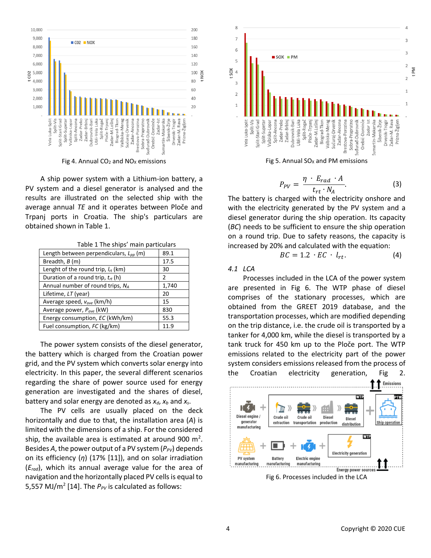

Fig 4. Annual  $CO<sub>2</sub>$  and  $NO<sub>X</sub>$  emissions

A ship power system with a Lithium-ion battery, a PV system and a diesel generator is analysed and the results are illustrated on the selected ship with the average annual *TE* and it operates between Ploče and Trpanj ports in Croatia. The ship's particulars are obtained shown in Table 1.

|  | Table 1 The ships' main particulars |
|--|-------------------------------------|
|  |                                     |

| Length between perpendiculars, $L_{nn}$ (m) | 89.1  |
|---------------------------------------------|-------|
| Breadth, B (m)                              | 17.5  |
| Lenght of the round trip, $I_{rt}$ (km)     | 30    |
| Duration of a round trip, $t_{rt}$ (h)      | 2     |
| Annual number of round trips, NA            | 1,740 |
| Lifetime, LT (year)                         | 20    |
| Average speed, $v_{ave}$ (km/h)             | 15    |
| Average power, Pave (kW)                    | 830   |
| Energy consumption, EC (kWh/km)             | 55.3  |
| Fuel consumption, FC (kg/km)                | 11.9  |

The power system consists of the diesel generator, the battery which is charged from the Croatian power grid, and the PV system which converts solar energy into electricity. In this paper, the several different scenarios regarding the share of power source used for energy generation are investigated and the shares of diesel, battery and solar energy are denoted as  $x_d$ ,  $x_b$  and  $x_s$ .

The PV cells are usually placed on the deck horizontally and due to that, the installation area (*A*) is limited with the dimensions of a ship. For the considered ship, the available area is estimated at around 900 m<sup>2</sup>. Besides *A*, the power output of a PV system ( $P_{PV}$ ) depends on its efficiency (*η*) (17% [\[11\]\)](#page-5-10), and on solar irradiation (*Erad*), which its annual average value for the area of navigation and the horizontally placed PV cells is equal to 5,557 MJ/m<sup>2</sup> [\[14\].](#page-5-13) The  $P_{PV}$  is calculated as follows:



Fig 5. Annual  $SO<sub>x</sub>$  and PM emissions

$$
P_{PV} = \frac{\eta \cdot E_{rad} \cdot A}{t_{rt} \cdot N_A}.
$$
 (3)

The battery is charged with the electricity onshore and with the electricity generated by the PV system and a diesel generator during the ship operation. Its capacity (*BC*) needs to be sufficient to ensure the ship operation on a round trip. Due to safety reasons, the capacity is increased by 20% and calculated with the equation:

$$
BC = 1.2 \cdot EC \cdot l_{rt}. \tag{4}
$$

*4.1 LCA*

Processes included in the LCA of the power system are presented in Fig 6. The WTP phase of diesel comprises of the stationary processes, which are obtained from the GREET 2019 database, and the transportation processes, which are modified depending on the trip distance, i.e. the crude oil is transported by a tanker for 4,000 km, while the diesel is transported by a tank truck for 450 km up to the Ploče port. The WTP emissions related to the electricity part of the power system considers emissions released from the process of the Croatian electricity generation, Fig 2.



Fig 6. Processes included in the LCA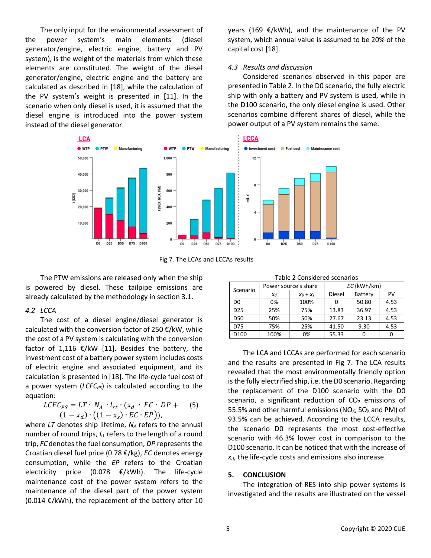The only input for the environmental assessment of the power system's main elements (diesel generator/engine, electric engine, battery and PV system), is the weight of the materials from which these elements are constituted. The weight of the diesel generator/engine, electric engine and the battery are calculated as described in [\[18\],](#page-5-17) while the calculation of the PV system's weight is presented in [\[11\].](#page-5-10) In the scenario when only diesel is used, it is assumed that the diesel engine is introduced into the power system instead of the diesel generator.

years (169 €/kWh), and the maintenance of the PV system, which annual value is assumed to be 20% of the capital cost [\[18\].](#page-5-17)

## *4.3 Results and discussion*

Considered scenarios observed in this paper are presented in Table 2. In the D0 scenario, the fully electric ship with only a battery and PV system is used, while in the D100 scenario, the only diesel engine is used. Other scenarios combine different shares of diesel, while the power output of a PV system remains the same.



Fig 7. The LCAs and LCCAs results

The PTW emissions are released only when the ship is powered by diesel. These tailpipe emissions are already calculated by the methodology in section 3.1.

#### *4.2 LCCA*

The cost of a diesel engine/diesel generator is calculated with the conversion factor of 250 €/kW, while the cost of a PV system is calculating with the conversion factor of 1,116  $\epsilon$ /kW [\[11\].](#page-5-10) Besides the battery, the investment cost of a battery power system includes costs of electric engine and associated equipment, and its calculation is presented i[n \[18\].](#page-5-17) The life-cycle fuel cost of a power system (*LCFCPS*) is calculated according to the equation:

$$
LCFC_{PS} = LT \cdot N_A \cdot l_{rt} \cdot (x_d \cdot FC \cdot DP + (5)
$$
  

$$
(1 - x_d) \cdot ((1 - x_s) \cdot EC \cdot EP)),
$$

where *LT* denotes ship lifetime, *N<sup>A</sup>* refers to the annual number of round trips, *l*<sub>rt</sub> refers to the length of a round trip, *FC* denotes the fuel consumption, *DP* represents the Croatian diesel fuel price (0.78 €/kg), *EC* denotes energy consumption, while the *EP* refers to the Croatian electricity price (0.078 €/kWh). The life-cycle maintenance cost of the power system refers to the maintenance of the diesel part of the power system (0.014 €/kWh), the replacement of the battery after 10

|  | Table 2 Considered scenarios |  |
|--|------------------------------|--|
|--|------------------------------|--|

| Scenario         | Power source's share |             | EC (kWh/km) |         |      |
|------------------|----------------------|-------------|-------------|---------|------|
|                  | $X_d$                | $X_b + X_s$ | Diesel      | Battery | PV   |
| D <sub>0</sub>   | 0%                   | 100%        |             | 50.80   | 4.53 |
| D <sub>25</sub>  | 25%                  | 75%         | 13.83       | 36.97   | 4.53 |
| <b>D50</b>       | 50%                  | 50%         | 27.67       | 23.13   | 4.53 |
| D75              | 75%                  | 25%         | 41.50       | 9.30    | 4.53 |
| D <sub>100</sub> | 100%                 | 0%          | 55.33       |         |      |

The LCA and LCCAs are performed for each scenario and the results are presented in Fig 7. The LCA results revealed that the most environmentally friendly option is the fully electrified ship, i.e. the D0 scenario. Regarding the replacement of the D100 scenario with the D0 scenario, a significant reduction of  $CO<sub>2</sub>$  emissions of 55.5% and other harmful emissions (NO<sub>x</sub>, SO<sub>x</sub> and PM) of 93.5% can be achieved. According to the LCCA results, the scenario D0 represents the most cost-effective scenario with 46.3% lower cost in comparison to the D100 scenario. It can be noticed that with the increase of *xd*, the life-cycle costs and emissions also increase.

## **5. CONCLUSION**

The integration of RES into ship power systems is investigated and the results are illustrated on the vessel